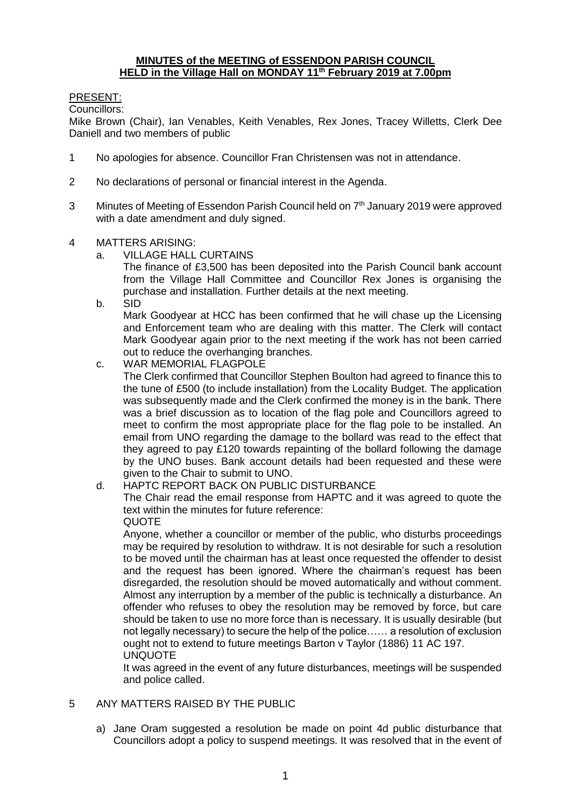#### **MINUTES of the MEETING of ESSENDON PARISH COUNCIL HELD in the Village Hall on MONDAY 11th February 2019 at 7.00pm**

## PRESENT:

Councillors:

Mike Brown (Chair), Ian Venables, Keith Venables, Rex Jones, Tracey Willetts, Clerk Dee Daniell and two members of public

- 1 No apologies for absence. Councillor Fran Christensen was not in attendance.
- 2 No declarations of personal or financial interest in the Agenda.
- 3 Minutes of Meeting of Essendon Parish Council held on 7<sup>th</sup> January 2019 were approved with a date amendment and duly signed.
- 4 MATTERS ARISING:
	- a. VILLAGE HALL CURTAINS
		- The finance of £3,500 has been deposited into the Parish Council bank account from the Village Hall Committee and Councillor Rex Jones is organising the purchase and installation. Further details at the next meeting.
	- b. SID

Mark Goodyear at HCC has been confirmed that he will chase up the Licensing and Enforcement team who are dealing with this matter. The Clerk will contact Mark Goodyear again prior to the next meeting if the work has not been carried out to reduce the overhanging branches.

- c. WAR MEMORIAL FLAGPOLE The Clerk confirmed that Councillor Stephen Boulton had agreed to finance this to the tune of £500 (to include installation) from the Locality Budget. The application was subsequently made and the Clerk confirmed the money is in the bank. There was a brief discussion as to location of the flag pole and Councillors agreed to meet to confirm the most appropriate place for the flag pole to be installed. An email from UNO regarding the damage to the bollard was read to the effect that they agreed to pay £120 towards repainting of the bollard following the damage by the UNO buses. Bank account details had been requested and these were given to the Chair to submit to UNO.
- d. HAPTC REPORT BACK ON PUBLIC DISTURBANCE

The Chair read the email response from HAPTC and it was agreed to quote the text within the minutes for future reference: QUOTE

Anyone, whether a councillor or member of the public, who disturbs proceedings may be required by resolution to withdraw. It is not desirable for such a resolution to be moved until the chairman has at least once requested the offender to desist and the request has been ignored. Where the chairman's request has been disregarded, the resolution should be moved automatically and without comment. Almost any interruption by a member of the public is technically a disturbance. An offender who refuses to obey the resolution may be removed by force, but care should be taken to use no more force than is necessary. It is usually desirable (but not legally necessary) to secure the help of the police…… a resolution of exclusion ought not to extend to future meetings Barton v Taylor (1886) 11 AC 197. UNQUOTE

It was agreed in the event of any future disturbances, meetings will be suspended and police called.

- 5 ANY MATTERS RAISED BY THE PUBLIC
	- a) Jane Oram suggested a resolution be made on point 4d public disturbance that Councillors adopt a policy to suspend meetings. It was resolved that in the event of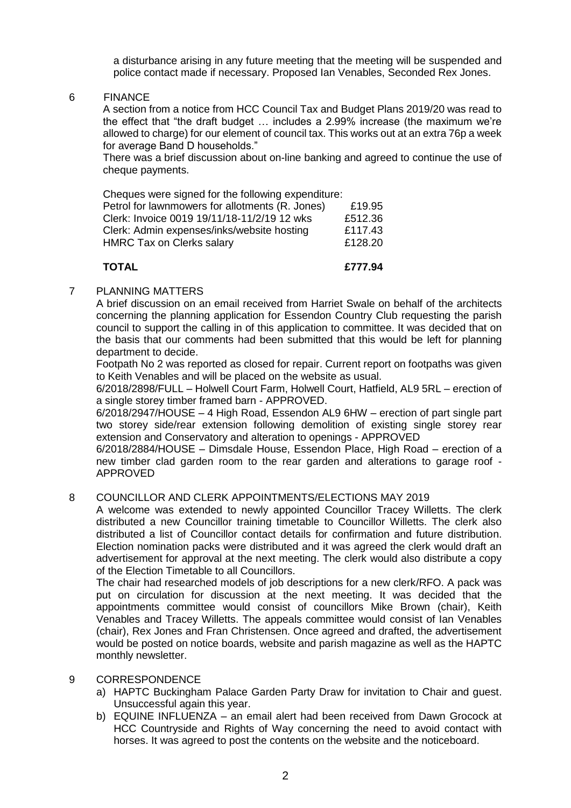a disturbance arising in any future meeting that the meeting will be suspended and police contact made if necessary. Proposed Ian Venables, Seconded Rex Jones.

6 FINANCE

A section from a notice from HCC Council Tax and Budget Plans 2019/20 was read to the effect that "the draft budget … includes a 2.99% increase (the maximum we're allowed to charge) for our element of council tax. This works out at an extra 76p a week for average Band D households."

There was a brief discussion about on-line banking and agreed to continue the use of cheque payments.

Cheques were signed for the following expenditure: Petrol for lawnmowers for allotments (R. Jones) £19.95 Clerk: Invoice 0019 19/11/18-11/2/19 12 wks £512.36 Clerk: Admin expenses/inks/website hosting £117.43 HMRC Tax on Clerks salary **Election 128.20** 

**TOTAL £777.94**

#### 7 PLANNING MATTERS

A brief discussion on an email received from Harriet Swale on behalf of the architects concerning the planning application for Essendon Country Club requesting the parish council to support the calling in of this application to committee. It was decided that on the basis that our comments had been submitted that this would be left for planning department to decide.

Footpath No 2 was reported as closed for repair. Current report on footpaths was given to Keith Venables and will be placed on the website as usual.

6/2018/2898/FULL – Holwell Court Farm, Holwell Court, Hatfield, AL9 5RL – erection of a single storey timber framed barn - APPROVED.

6/2018/2947/HOUSE – 4 High Road, Essendon AL9 6HW – erection of part single part two storey side/rear extension following demolition of existing single storey rear extension and Conservatory and alteration to openings - APPROVED

6/2018/2884/HOUSE – Dimsdale House, Essendon Place, High Road – erection of a new timber clad garden room to the rear garden and alterations to garage roof - APPROVED

#### 8 COUNCILLOR AND CLERK APPOINTMENTS/ELECTIONS MAY 2019

A welcome was extended to newly appointed Councillor Tracey Willetts. The clerk distributed a new Councillor training timetable to Councillor Willetts. The clerk also distributed a list of Councillor contact details for confirmation and future distribution. Election nomination packs were distributed and it was agreed the clerk would draft an advertisement for approval at the next meeting. The clerk would also distribute a copy of the Election Timetable to all Councillors.

The chair had researched models of job descriptions for a new clerk/RFO. A pack was put on circulation for discussion at the next meeting. It was decided that the appointments committee would consist of councillors Mike Brown (chair), Keith Venables and Tracey Willetts. The appeals committee would consist of Ian Venables (chair), Rex Jones and Fran Christensen. Once agreed and drafted, the advertisement would be posted on notice boards, website and parish magazine as well as the HAPTC monthly newsletter.

#### 9 CORRESPONDENCE

- a) HAPTC Buckingham Palace Garden Party Draw for invitation to Chair and guest. Unsuccessful again this year.
- b) EQUINE INFLUENZA an email alert had been received from Dawn Grocock at HCC Countryside and Rights of Way concerning the need to avoid contact with horses. It was agreed to post the contents on the website and the noticeboard.